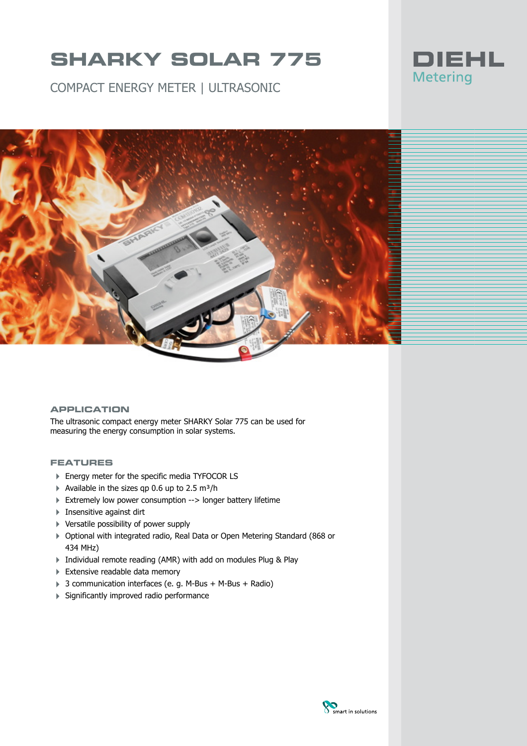COMPACT ENERGY METER | ULTRASONIC





### **APPLICATION**

The ultrasonic compact energy meter SHARKY Solar 775 can be used for measuring the energy consumption in solar systems.

#### **FEATURES**

- ▶ Energy meter for the specific media TYFOCOR LS
- $\blacktriangleright$  Available in the sizes qp 0.6 up to 2.5 m<sup>3</sup>/h
- Extremely low power consumption --> longer battery lifetime
- $\blacktriangleright$  Insensitive against dirt
- 4 Versatile possibility of power supply
- 4 Optional with integrated radio, Real Data or Open Metering Standard (868 or 434 MHz)
- 4 Individual remote reading (AMR) with add on modules Plug & Play
- Extensive readable data memory
- ▶ 3 communication interfaces (e. g. M-Bus + M-Bus + Radio)
- 4 Significantly improved radio performance

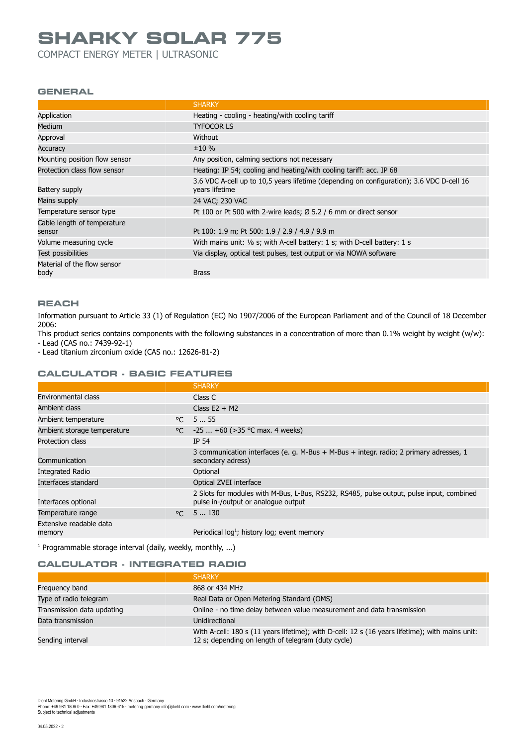COMPACT ENERGY METER | ULTRASONIC

#### **GENERAL**

|                                       | <b>SHARKY</b>                                                                                              |
|---------------------------------------|------------------------------------------------------------------------------------------------------------|
| Application                           | Heating - cooling - heating/with cooling tariff                                                            |
| <b>Medium</b>                         | <b>TYFOCOR LS</b>                                                                                          |
| Approval                              | Without                                                                                                    |
| Accuracy                              | ±10%                                                                                                       |
| Mounting position flow sensor         | Any position, calming sections not necessary                                                               |
| Protection class flow sensor          | Heating: IP 54; cooling and heating/with cooling tariff: acc. IP 68                                        |
| Battery supply                        | 3.6 VDC A-cell up to 10.5 years lifetime (depending on configuration); 3.6 VDC D-cell 16<br>years lifetime |
| Mains supply                          | 24 VAC; 230 VAC                                                                                            |
| Temperature sensor type               | Pt 100 or Pt 500 with 2-wire leads; $\varnothing$ 5.2 / 6 mm or direct sensor                              |
| Cable length of temperature<br>sensor | Pt 100: 1.9 m; Pt 500: 1.9 / 2.9 / 4.9 / 9.9 m                                                             |
| Volume measuring cycle                | With mains unit: 1/8 s; with A-cell battery: 1 s; with D-cell battery: 1 s                                 |
| Test possibilities                    | Via display, optical test pulses, test output or via NOWA software                                         |
| Material of the flow sensor<br>body   | <b>Brass</b>                                                                                               |

#### **REACH**

Information pursuant to Article 33 (1) of Regulation (EC) No 1907/2006 of the European Parliament and of the Council of 18 December 2006:

This product series contains components with the following substances in a concentration of more than 0.1% weight by weight (w/w): - Lead (CAS no.: 7439-92-1)

- Lead titanium zirconium oxide (CAS no.: 12626-81-2)

## **CALCULATOR - BASIC FEATURES**

|                                   |              | <b>SHARKY</b>                                                                                                                   |
|-----------------------------------|--------------|---------------------------------------------------------------------------------------------------------------------------------|
| Environmental class               |              | Class C                                                                                                                         |
| Ambient class                     |              | Class $E2 + M2$                                                                                                                 |
| Ambient temperature               | $^{\circ}$ C | 555                                                                                                                             |
| Ambient storage temperature       |              | °C $-25$ +60 (>35 °C max. 4 weeks)                                                                                              |
| Protection class                  |              | IP 54                                                                                                                           |
| Communication                     |              | 3 communication interfaces (e. g. M-Bus + M-Bus + integr. radio; 2 primary adresses, 1<br>secondary adress)                     |
| <b>Integrated Radio</b>           |              | Optional                                                                                                                        |
| Interfaces standard               |              | Optical ZVEI interface                                                                                                          |
| Interfaces optional               |              | 2 Slots for modules with M-Bus, L-Bus, RS232, RS485, pulse output, pulse input, combined<br>pulse in-/output or analogue output |
| Temperature range                 | $^{\circ}$ C | 5  130                                                                                                                          |
| Extensive readable data<br>memory |              | Periodical $log1$ ; history $log$ ; event memory                                                                                |

<sup>1</sup> Programmable storage interval (daily, weekly, monthly, ...)

#### **CALCULATOR - INTEGRATED RADIO**

|                            | <b>SHARKY</b>                                                                                                                                         |
|----------------------------|-------------------------------------------------------------------------------------------------------------------------------------------------------|
| Frequency band             | 868 or 434 MHz                                                                                                                                        |
| Type of radio telegram     | Real Data or Open Metering Standard (OMS)                                                                                                             |
| Transmission data updating | Online - no time delay between value measurement and data transmission                                                                                |
| Data transmission          | Unidirectional                                                                                                                                        |
| Sending interval           | With A-cell: 180 s (11 years lifetime); with D-cell: 12 s (16 years lifetime); with mains unit:<br>12 s; depending on length of telegram (duty cycle) |

Diehl Metering GmbH ∙ Industriestrasse 13 ∙ 91522 Ansbach ∙ Germany<br>Phone: +49 981 1806-0 ∙ Fax: +49 981 1806-615 ∙ metering-germany-info@diehl.com ∙ www.diehl.com/metering Subject to technical adjustments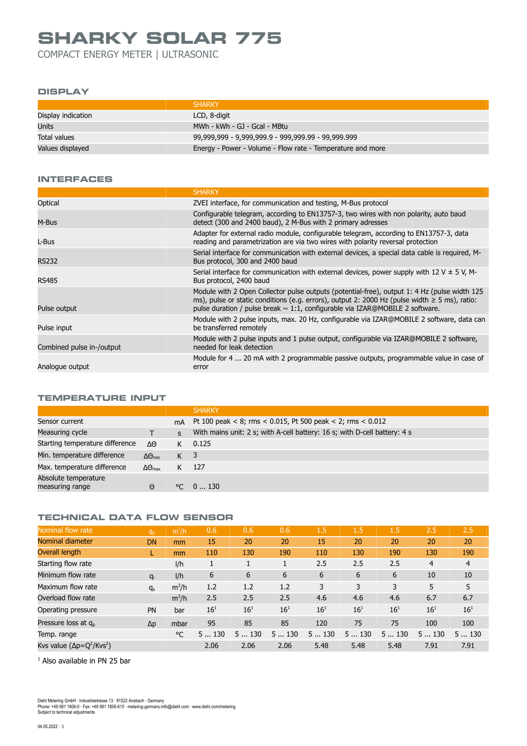COMPACT ENERGY METER | ULTRASONIC

#### **DISPLAY**

|                    | <b>SHARKY</b>                                              |
|--------------------|------------------------------------------------------------|
| Display indication | LCD, 8-digit                                               |
| <b>Units</b>       | MWh - kWh - GJ - Gcal - MBtu                               |
| Total values       | 99,999,999 - 9,999,999.9 - 999,999.99 - 99,999.999         |
| Values displayed   | Energy - Power - Volume - Flow rate - Temperature and more |

#### **INTERFACES**

|                           | <b>SHARKY</b>                                                                                                                                                                                                                                                                            |
|---------------------------|------------------------------------------------------------------------------------------------------------------------------------------------------------------------------------------------------------------------------------------------------------------------------------------|
| Optical                   | ZVEI interface, for communication and testing, M-Bus protocol                                                                                                                                                                                                                            |
| M-Bus                     | Configurable telegram, according to EN13757-3, two wires with non polarity, auto baud<br>detect (300 and 2400 baud), 2 M-Bus with 2 primary adresses                                                                                                                                     |
| L-Bus                     | Adapter for external radio module, configurable telegram, according to EN13757-3, data<br>reading and parametrization are via two wires with polarity reversal protection                                                                                                                |
| <b>RS232</b>              | Serial interface for communication with external devices, a special data cable is required, M-<br>Bus protocol, 300 and 2400 baud                                                                                                                                                        |
| <b>RS485</b>              | Serial interface for communication with external devices, power supply with 12 V $\pm$ 5 V, M-<br>Bus protocol, 2400 baud                                                                                                                                                                |
| Pulse output              | Module with 2 Open Collector pulse outputs (potential-free), output 1: 4 Hz (pulse width 125<br>ms), pulse or static conditions (e.g. errors), output 2: 2000 Hz (pulse width $\geq$ 5 ms), ratio:<br>pulse duration / pulse break $\sim 1.1$ , configurable via IZAR@MOBILE 2 software. |
| Pulse input               | Module with 2 pulse inputs, max. 20 Hz, configurable via IZAR@MOBILE 2 software, data can<br>be transferred remotely                                                                                                                                                                     |
| Combined pulse in-/output | Module with 2 pulse inputs and 1 pulse output, configurable via IZAR@MOBILE 2 software,<br>needed for leak detection                                                                                                                                                                     |
| Analogue output           | Module for 4  20 mA with 2 programmable passive outputs, programmable value in case of<br>error                                                                                                                                                                                          |
|                           |                                                                                                                                                                                                                                                                                          |

### **TEMPERATURE INPUT**

|                                         |                             |                | <b>SHARKY</b>                                                             |
|-----------------------------------------|-----------------------------|----------------|---------------------------------------------------------------------------|
| Sensor current                          |                             | mA             | Pt 100 peak < 8; rms < 0.015, Pt 500 peak < 2; rms < 0.012                |
| Measuring cycle                         |                             | S              | With mains unit: 2 s; with A-cell battery: 16 s; with D-cell battery: 4 s |
| Starting temperature difference         | ΔΘ                          | K              | 0.125                                                                     |
| Min. temperature difference             | $\Delta\Theta_{\text{min}}$ | K <sup>3</sup> |                                                                           |
| Max. temperature difference             | $\Delta\Theta_{\text{max}}$ |                | 127                                                                       |
| Absolute temperature<br>measuring range | Θ                           | $^{\circ}$     | 0130                                                                      |

### **TECHNICAL DATA FLOW SENSOR**

| Nominal flow rate                 | $q_p$      | $m^3/h$ | 0.6      | 0.6      | 0.6      | 1.5      | 1.5      | 1.5      | 2.5      | 2.5            |
|-----------------------------------|------------|---------|----------|----------|----------|----------|----------|----------|----------|----------------|
| Nominal diameter                  | DN         | mm      | 15       | 20       | 20       | 15       | 20       | 20       | 20       | 20             |
| Overall length                    |            | mm      | 110      | 130      | 190      | 110      | 130      | 190      | 130      | 190            |
| Starting flow rate                |            | I/h     | <b>I</b> |          |          | 2.5      | 2.5      | 2.5      | 4        | $\overline{4}$ |
| Minimum flow rate                 | $q_i$      | I/h     | 6        | 6        | 6        | 6        | 6        | 6        | 10       | 10             |
| Maximum flow rate                 | $q_s$      | $m^3/h$ | 1.2      | 1.2      | 1.2      | 3        | 3        | 3        | 5        | 5              |
| Overload flow rate                |            | $m^3/h$ | 2.5      | 2.5      | 2.5      | 4.6      | 4.6      | 4.6      | 6.7      | 6.7            |
| Operating pressure                | <b>PN</b>  | bar     | $16^{1}$ | $16^{1}$ | $16^{1}$ | $16^{1}$ | $16^{1}$ | $16^{1}$ | $16^{1}$ | $16^{1}$       |
| Pressure loss at $q_p$            | $\Delta p$ | mbar    | 95       | 85       | 85       | 120      | 75       | 75       | 100      | 100            |
| Temp. range                       |            | °C      | 5130     | 5130     | 5130     | 5130     | 5130     | 5130     | 5130     | 5130           |
| Kvs value $(\Delta p = Q^2/Kv^2)$ |            |         | 2.06     | 2.06     | 2.06     | 5.48     | 5.48     | 5.48     | 7.91     | 7.91           |

 $<sup>1</sup>$  Also available in PN 25 bar</sup>

Diehl Metering GmbH ∙ Industriestrasse 13 ∙ 91522 Ansbach ∙ Germany<br>Phone: +49 981 1806-0 · Fax: +49 981 1806-615 · metering-germany-info@diehl.com · www.diehl.com/metering<br>Subject to technical adjustments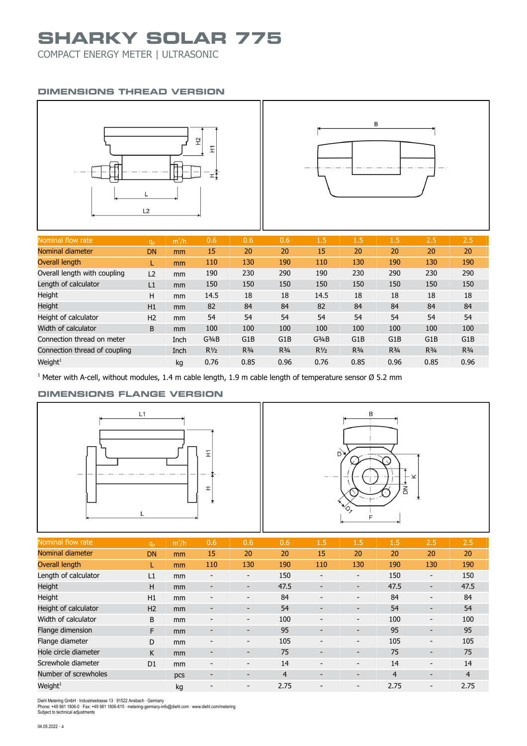COMPACT ENERGY METER | ULTRASONIC

### **DIMENSIONS THREAD VERSION**





| Nominal flow rate             | q <sub>p</sub> | $m^3/h$ | 0.6                | 0.6              | 0.6              | 1.5                | 1.5              | 1.5              | 2.5              | 2.5              |
|-------------------------------|----------------|---------|--------------------|------------------|------------------|--------------------|------------------|------------------|------------------|------------------|
| Nominal diameter              | <b>DN</b>      | mm      | 15                 | 20               | 20               | 15                 | 20               | 20               | 20               | 20               |
| Overall length                |                | mm      | 110                | 130              | 190              | 110                | 130              | 190              | 130              | 190              |
| Overall length with coupling  | L <sub>2</sub> | mm      | 190                | 230              | 290              | 190                | 230              | 290              | 230              | 290              |
| Length of calculator          | L1             | mm      | 150                | 150              | 150              | 150                | 150              | 150              | 150              | 150              |
| Height                        | н              | mm      | 14.5               | 18               | 18               | 14.5               | 18               | 18               | 18               | 18               |
| Height                        | H1             | mm      | 82                 | 84               | 84               | 82                 | 84               | 84               | 84               | 84               |
| Height of calculator          | H <sub>2</sub> | mm      | 54                 | 54               | 54               | 54                 | 54               | 54               | 54               | 54               |
| Width of calculator           | B              | mm      | 100                | 100              | 100              | 100                | 100              | 100              | 100              | 100              |
| Connection thread on meter    |                | Inch    | G <sup>3</sup> /4B | G <sub>1</sub> B | G <sub>1</sub> B | G <sup>3</sup> /4B | G <sub>1</sub> B | G <sub>1</sub> B | G <sub>1</sub> B | G <sub>1</sub> B |
| Connection thread of coupling |                | Inch    | $R\frac{1}{2}$     | $R^{3/4}$        | $R^{3/4}$        | $R\frac{1}{2}$     | $R^{3/4}$        | $R^{3/4}$        | $R^{3/4}$        | $R^{3/4}$        |
| Weight <sup>1</sup>           |                | kg      | 0.76               | 0.85             | 0.96             | 0.76               | 0.85             | 0.96             | 0.85             | 0.96             |

<sup>1</sup> Meter with A-cell, without modules, 1.4 m cable length, 1.9 m cable length of temperature sensor Ø 5.2 mm

### **DIMENSIONS FLANGE VERSION**





| Nominal flow rate     | q <sub>p</sub> | $m^3/h$ | 0.6                      | 0.6                      | 0.6  | 1.5                      | 1.5                          | 1.5            | 2.5                          | 2.5            |
|-----------------------|----------------|---------|--------------------------|--------------------------|------|--------------------------|------------------------------|----------------|------------------------------|----------------|
| Nominal diameter      | <b>DN</b>      | mm      | 15                       | 20                       | 20   | 15                       | 20                           | 20             | 20                           | 20             |
| <b>Overall length</b> |                | mm      | 110                      | 130                      | 190  | 110                      | 130                          | 190            | 130                          | 190            |
| Length of calculator  | L1             | mm      | $\overline{\phantom{a}}$ | $\overline{\phantom{a}}$ | 150  | $\overline{\phantom{a}}$ | -                            | 150            | $\overline{\phantom{a}}$     | 150            |
| Height                | H              | mm      | $\overline{\phantom{a}}$ | $\overline{\phantom{a}}$ | 47.5 | -                        | $\qquad \qquad \blacksquare$ | 47.5           | -                            | 47.5           |
| Height                | H1             | mm      | -                        | $\overline{\phantom{0}}$ | 84   | -                        | $\overline{\phantom{0}}$     | 84             | -                            | 84             |
| Height of calculator  | H <sub>2</sub> | mm      | $\overline{\phantom{a}}$ | $\overline{\phantom{a}}$ | 54   | $\overline{\phantom{0}}$ | $\overline{\phantom{a}}$     | 54             | $\overline{\phantom{0}}$     | 54             |
| Width of calculator   | B              | mm      | $\overline{\phantom{a}}$ | $\overline{\phantom{a}}$ | 100  | -                        | $\overline{\phantom{0}}$     | 100            | $\overline{\phantom{a}}$     | 100            |
| Flange dimension      | F              | mm      | -                        | -                        | 95   |                          | -                            | 95             | -                            | 95             |
| Flange diameter       | D              | mm      | -                        | $\overline{\phantom{a}}$ | 105  | $\overline{a}$           | -                            | 105            | $\blacksquare$               | 105            |
| Hole circle diameter  | K              | mm      |                          | $\overline{\phantom{a}}$ | 75   | -                        | $\qquad \qquad \blacksquare$ | 75             | $\overline{\phantom{a}}$     | 75             |
| Screwhole diameter    | D <sub>1</sub> | mm      | -                        | $\overline{\phantom{a}}$ | 14   |                          | -                            | 14             | $\qquad \qquad \blacksquare$ | 14             |
| Number of screwholes  |                | pcs     |                          | $\overline{\phantom{a}}$ | 4    |                          | $\overline{\phantom{a}}$     | $\overline{4}$ | $\overline{\phantom{a}}$     | $\overline{4}$ |
| Weight $^1$           |                | kg      |                          | $\overline{\phantom{0}}$ | 2.75 |                          | -                            | 2.75           | $\overline{\phantom{0}}$     | 2.75           |

Diehl Metering GmbH ∙ Industriestrasse 13 ∙ 91522 Ansbach ∙ Germany<br>Phone: +49 981 1806-0 · Fax: +49 981 1806-615 · metering-germany-info@diehl.com · www.diehl.com/metering<br>Subject to technical adjustments